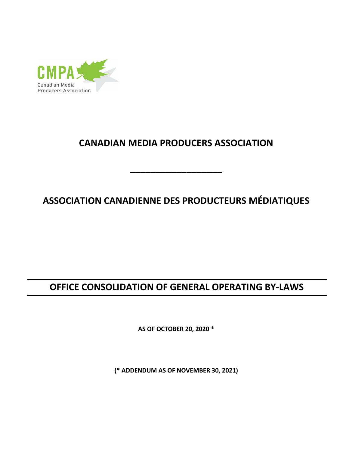

# **CANADIAN MEDIA PRODUCERS ASSOCIATION**

**\_\_\_\_\_\_\_\_\_\_\_\_\_\_\_\_\_\_**

# **ASSOCIATION CANADIENNE DES PRODUCTEURS MÉDIATIQUES**

# **OFFICE CONSOLIDATION OF GENERAL OPERATING BY-LAWS**

**AS OF OCTOBER 20, 2020 \***

**(\* ADDENDUM AS OF NOVEMBER 30, 2021)**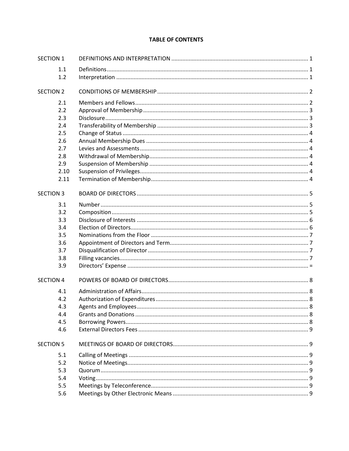#### **TABLE OF CONTENTS**

| <b>SECTION 1</b> |      |  |
|------------------|------|--|
| 1.1              |      |  |
| 1.2              |      |  |
| <b>SECTION 2</b> |      |  |
| 2.1              |      |  |
| 2.2              |      |  |
| 2.3              |      |  |
| 2.4              |      |  |
| 2.5              |      |  |
| 2.6              |      |  |
| 2.7              |      |  |
| 2.8              |      |  |
| 2.9              |      |  |
|                  | 2.10 |  |
|                  | 2.11 |  |
| <b>SECTION 3</b> |      |  |
| 3.1              |      |  |
| 3.2              |      |  |
| 3.3              |      |  |
| 3.4              |      |  |
| 3.5              |      |  |
| 3.6              |      |  |
| 3.7              |      |  |
| 3.8              |      |  |
| 3.9              |      |  |
| <b>SECTION 4</b> |      |  |
| 4.1              |      |  |
| 4.2              |      |  |
| 4.3              |      |  |
| 4.4              |      |  |
| 4.5              |      |  |
| 4.6              |      |  |
| <b>SECTION 5</b> |      |  |
| 5.1              |      |  |
| 5.2              |      |  |
| 5.3              |      |  |
| 5.4              |      |  |
| 5.5              |      |  |
| 5.6              |      |  |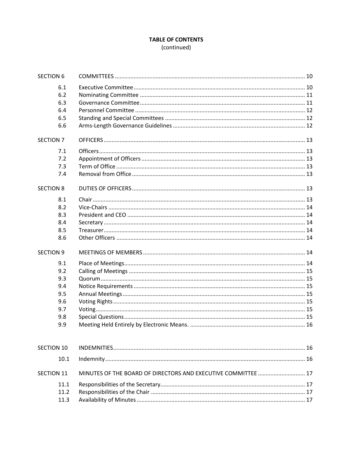# **TABLE OF CONTENTS**

(continued)

| <b>SECTION 6</b>  |                                                               |  |
|-------------------|---------------------------------------------------------------|--|
| 6.1               |                                                               |  |
| 6.2               |                                                               |  |
| 6.3               |                                                               |  |
| 6.4               |                                                               |  |
| 6.5               |                                                               |  |
| 6.6               |                                                               |  |
| <b>SECTION 7</b>  |                                                               |  |
| 7.1               |                                                               |  |
| 7.2               |                                                               |  |
| 7.3               |                                                               |  |
| 7.4               |                                                               |  |
| <b>SECTION 8</b>  |                                                               |  |
| 8.1               |                                                               |  |
| 8.2               |                                                               |  |
| 8.3               |                                                               |  |
| 8.4               |                                                               |  |
| 8.5               |                                                               |  |
| 8.6               |                                                               |  |
| <b>SECTION 9</b>  |                                                               |  |
| 9.1               |                                                               |  |
| 9.2               |                                                               |  |
| 9.3               |                                                               |  |
| 9.4               |                                                               |  |
| 9.5               |                                                               |  |
| 9.6               |                                                               |  |
| 9.7               |                                                               |  |
| 9.8               |                                                               |  |
| 9.9               |                                                               |  |
| <b>SECTION 10</b> |                                                               |  |
| 10.1              |                                                               |  |
|                   |                                                               |  |
| <b>SECTION 11</b> | MINUTES OF THE BOARD OF DIRECTORS AND EXECUTIVE COMMITTEE  17 |  |
| 11.1              |                                                               |  |
| 11.2              |                                                               |  |
| 11.3              |                                                               |  |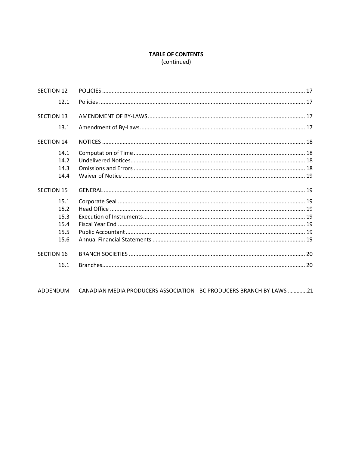# **TABLE OF CONTENTS**

(continued)

| <b>SECTION 12</b> |  |
|-------------------|--|
| 12.1              |  |
| <b>SECTION 13</b> |  |
| 13.1              |  |
| <b>SECTION 14</b> |  |
| 14.1              |  |
| 14.2              |  |
| 14.3              |  |
| 14.4              |  |
| <b>SECTION 15</b> |  |
| 15.1              |  |
| 15.2              |  |
| 15.3              |  |
| 15.4              |  |
| 15.5              |  |
| 15.6              |  |
| <b>SECTION 16</b> |  |
| 16.1              |  |

ADDENDUM CANADIAN MEDIA PRODUCERS ASSOCIATION - BC PRODUCERS BRANCH BY-LAWS .............21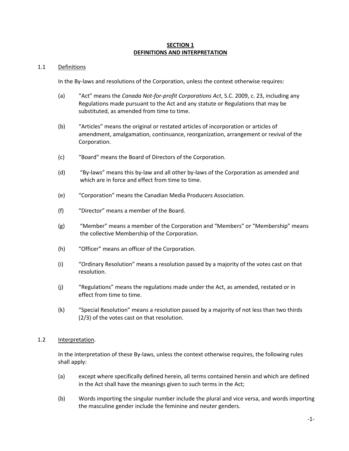#### **SECTION 1 DEFINITIONS AND INTERPRETATION**

#### 1.1 Definitions

In the By-laws and resolutions of the Corporation, unless the context otherwise requires:

- (a) "Act" means the *Canada Not-for-profit Corporations Act*, S.C. 2009, c. 23, including any Regulations made pursuant to the Act and any statute or Regulations that may be substituted, as amended from time to time.
- (b) "Articles" means the original or restated articles of incorporation or articles of amendment, amalgamation, continuance, reorganization, arrangement or revival of the Corporation.
- (c) "Board" means the Board of Directors of the Corporation.
- (d) "By-laws" means this by-law and all other by-laws of the Corporation as amended and which are in force and effect from time to time.
- (e) "Corporation" means the Canadian Media Producers Association.
- (f) "Director" means a member of the Board.
- (g) "Member" means a member of the Corporation and "Members" or "Membership" means the collective Membership of the Corporation.
- (h) "Officer" means an officer of the Corporation.
- (i) "Ordinary Resolution" means a resolution passed by a majority of the votes cast on that resolution.
- (j) "Regulations" means the regulations made under the Act, as amended, restated or in effect from time to time.
- (k) "Special Resolution" means a resolution passed by a majority of not less than two thirds (2/3) of the votes cast on that resolution.

#### 1.2 Interpretation.

In the interpretation of these By-laws, unless the context otherwise requires, the following rules shall apply:

- (a) except where specifically defined herein, all terms contained herein and which are defined in the Act shall have the meanings given to such terms in the Act;
- (b) Words importing the singular number include the plural and vice versa, and words importing the masculine gender include the feminine and neuter genders.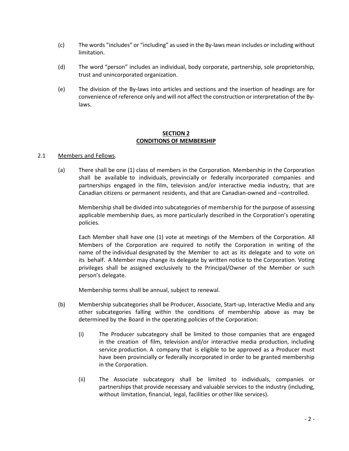- (c) The words "includes" or "including" as used in the By-laws mean includes or including without limitation.
- (d) The word "person" includes an individual, body corporate, partnership, sole proprietorship, trust and unincorporated organization.
- (e) The division of the By-laws into articles and sections and the insertion of headings are for convenience of reference only and will not affect the construction or interpretation of the Bylaws.

#### **SECTION 2 CONDITIONS OF MEMBERSHIP**

#### 2.1 Members and Fellows.

(a) There shall be one (1) class of members in the Corporation. Membership in the Corporation shall be available to individuals, provincially or federally incorporated companies and partnerships engaged in the film, television and/or interactive media industry, that are Canadian citizens or permanent residents, and that are Canadian‐owned and –controlled.

Membership shall be divided into subcategories of membership for the purpose of assessing applicable membership dues, as more particularly described in the Corporation's operating policies.

Each Member shall have one (1) vote at meetings of the Members of the Corporation. All Members of the Corporation are required to notify the Corporation in writing of the name of the individual designated by the Member to act as its delegate and to vote on its behalf. A Member may change its delegate by written notice to the Corporation. Voting privileges shall be assigned exclusively to the Principal/Owner of the Member or such person's delegate.

Membership terms shall be annual, subject to renewal.

- (b) Membership subcategories shall be Producer, Associate, Start-up, Interactive Media and any other subcategories falling within the conditions of membership above as may be determined by the Board in the operating policies of the Corporation:
	- (i) The Producer subcategory shall be limited to those companies that are engaged in the creation of film, television and/or interactive media production, including service production. A company that is eligible to be approved as a Producer must have been provincially or federally incorporated in order to be granted membership in the Corporation.
	- (ii) The Associate subcategory shall be limited to individuals, companies or partnerships that provide necessary and valuable services to the industry (including, without limitation, financial, legal, facilities or other like services).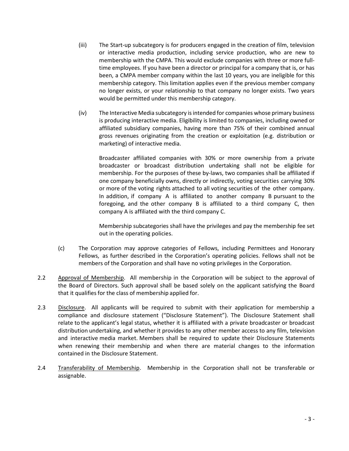- (iii) The Start-up subcategory is for producers engaged in the creation of film, television or interactive media production, including service production, who are new to membership with the CMPA. This would exclude companies with three or more fulltime employees. If you have been a director or principal for a company that is, or has been, a CMPA member company within the last 10 years, you are ineligible for this membership category. This limitation applies even if the previous member company no longer exists, or your relationship to that company no longer exists. Two years would be permitted under this membership category.
- (iv) The Interactive Media subcategory is intended for companies whose primary business is producing interactive media. Eligibility is limited to companies, including owned or affiliated subsidiary companies, having more than 75% of their combined annual gross revenues originating from the creation or exploitation (e.g. distribution or marketing) of interactive media.

Broadcaster affiliated companies with 30% or more ownership from a private broadcaster or broadcast distribution undertaking shall not be eligible for membership. For the purposes of these by-laws, two companies shall be affiliated if one company beneficially owns, directly or indirectly, voting securities carrying 30% or more of the voting rights attached to all voting securities of the other company. In addition, if company A is affiliated to another company B pursuant to the foregoing, and the other company B is affiliated to a third company C, then company A is affiliated with the third company C.

Membership subcategories shall have the privileges and pay the membership fee set out in the operating policies.

- (c) The Corporation may approve categories of Fellows, including Permittees and Honorary Fellows, as further described in the Corporation's operating policies. Fellows shall not be members of the Corporation and shall have no voting privileges in the Corporation.
- 2.2 Approval of Membership. All membership in the Corporation will be subject to the approval of the Board of Directors. Such approval shall be based solely on the applicant satisfying the Board that it qualifies for the class of membership applied for.
- 2.3 Disclosure. All applicants will be required to submit with their application for membership a compliance and disclosure statement ("Disclosure Statement"). The Disclosure Statement shall relate to the applicant's legal status, whether it is affiliated with a private broadcaster or broadcast distribution undertaking, and whether it provides to any other member access to any film, television and interactive media market. Members shall be required to update their Disclosure Statements when renewing their membership and when there are material changes to the information contained in the Disclosure Statement.
- 2.4 Transferability of Membership. Membership in the Corporation shall not be transferable or assignable.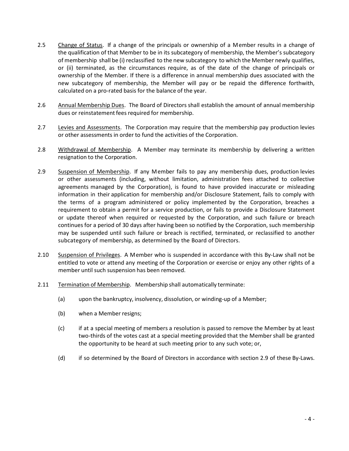- 2.5 Change of Status. If a change of the principals or ownership of a Member results in a change of the qualification of that Member to be in its subcategory of membership, the Member's subcategory of membership shall be (i) reclassified to the new subcategory to which the Member newly qualifies, or (ii) terminated, as the circumstances require, as of the date of the change of principals or ownership of the Member. If there is a difference in annual membership dues associated with the new subcategory of membership, the Member will pay or be repaid the difference forthwith, calculated on a pro-rated basis for the balance of the year.
- 2.6 Annual Membership Dues. The Board of Directors shall establish the amount of annual membership dues or reinstatement fees required for membership.
- 2.7 Levies and Assessments. The Corporation may require that the membership pay production levies or other assessments in order to fund the activities of the Corporation.
- 2.8 Withdrawal of Membership. A Member may terminate its membership by delivering a written resignation to the Corporation.
- 2.9 Suspension of Membership. If any Member fails to pay any membership dues, production levies or other assessments (including, without limitation, administration fees attached to collective agreements managed by the Corporation), is found to have provided inaccurate or misleading information in their application for membership and/or Disclosure Statement, fails to comply with the terms of a program administered or policy implemented by the Corporation, breaches a requirement to obtain a permit for a service production, or fails to provide a Disclosure Statement or update thereof when required or requested by the Corporation, and such failure or breach continues for a period of 30 days after having been so notified by the Corporation, such membership may be suspended until such failure or breach is rectified, terminated, or reclassified to another subcategory of membership, as determined by the Board of Directors.
- 2.10 Suspension of Privileges. A Member who is suspended in accordance with this By-Law shall not be entitled to vote or attend any meeting of the Corporation or exercise or enjoy any other rights of a member until such suspension has been removed.
- 2.11 Termination of Membership. Membership shall automatically terminate:
	- (a) upon the bankruptcy, insolvency, dissolution, or winding-up of a Member;
	- (b) when a Member resigns;
	- (c) if at a special meeting of members a resolution is passed to remove the Member by at least two‐thirds of the votes cast at a special meeting provided that the Member shall be granted the opportunity to be heard at such meeting prior to any such vote; or,
	- (d) if so determined by the Board of Directors in accordance with section 2.9 of these By‐Laws.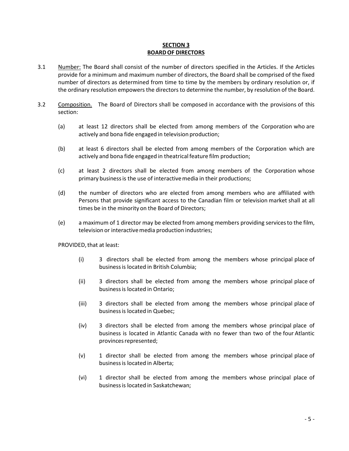#### **SECTION 3 BOARDOF DIRECTORS**

- 3.1 Number: The Board shall consist of the number of directors specified in the Articles. If the Articles provide for a minimum and maximum number of directors, the Board shall be comprised of the fixed number of directors as determined from time to time by the members by ordinary resolution or, if the ordinary resolution empowers the directors to determine the number, by resolution of the Board.
- 3.2 Composition. The Board of Directors shall be composed in accordance with the provisions of this section:
	- (a) at least 12 directors shall be elected from among members of the Corporation who are actively and bona fide engaged in television production;
	- (b) at least 6 directors shall be elected from among members of the Corporation which are actively and bona fide engaged in theatrical feature film production;
	- (c) at least 2 directors shall be elected from among members of the Corporation whose primary business is the use of interactive media in their productions;
	- (d) the number of directors who are elected from among members who are affiliated with Persons that provide significant access to the Canadian film or television market shall at all times be in the minority on the Board of Directors;
	- (e) a maximum of 1 director may be elected from among members providing servicesto the film, television or interactive media production industries;

PROVIDED, that at least:

- (i) 3 directors shall be elected from among the members whose principal place of businessis located in British Columbia;
- (ii) 3 directors shall be elected from among the members whose principal place of businessis located in Ontario;
- (iii) 3 directors shall be elected from among the members whose principal place of businessis located in Quebec;
- (iv) 3 directors shall be elected from among the members whose principal place of business is located in Atlantic Canada with no fewer than two of the four Atlantic provinces represented;
- (v) 1 director shall be elected from among the members whose principal place of businessis located in Alberta;
- (vi) 1 director shall be elected from among the members whose principal place of businessis located in Saskatchewan;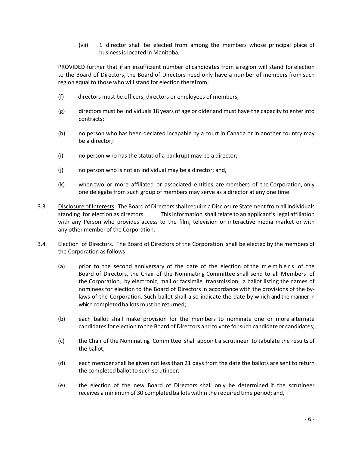(vii) 1 director shall be elected from among the members whose principal place of businessis located in Manitoba;

PROVIDED further that if an insufficient number of candidates from a region will stand for election to the Board of Directors, the Board of Directors need only have a number of members from such region equal to those who will stand for election therefrom;

- (f) directors must be officers, directors or employees of members;
- (g) directors must be individuals 18 years of age or older and must have the capacity to enter into contracts;
- (h) no person who has been declared incapable by a court in Canada or in another country may be a director;
- (i) no person who has the status of a bankrupt may be a director;
- (j) no person who is not an individual may be a director; and,
- (k) when two or more affiliated or associated entities are members of the Corporation, only one delegate from such group of members may serve as a director at any one time.
- 3.3 Disclosure of Interests. The Board of Directors shall require a Disclosure Statement from all individuals standing for election as directors. Thisinformation shall relate to an applicant's legal affiliation with any Person who provides access to the film, television or interactive media market or with any other member of the Corporation.
- 3.4 Election of Directors. The Board of Directors of the Corporation shall be elected by the members of the Corporation as follows:
	- (a) prior to the second anniversary of the date of the election of the members of the Board of Directors, the Chair of the Nominating Committee shall send to all Members of the Corporation, by electronic, mail or facsimile transmission, a ballot listing the names of nominees for election to the Board of Directors in accordance with the provisions of the by‐ laws of the Corporation. Such ballot shall also indicate the date by which and the manner in which completed ballots must be returned;
	- (b) each ballot shall make provision for the members to nominate one or more alternate candidates for election to the Board of Directors and to vote for such candidate or candidates;
	- (c) the Chair of the Nominating Committee shall appoint a scrutineer to tabulate the results of the ballot;
	- (d) each member shall be given not less than 21 days from the date the ballots are sent to return the completed ballot to such scrutineer;
	- (e) the election of the new Board of Directors shall only be determined if the scrutineer receives a minimumof 30 completed ballots within the required time period; and,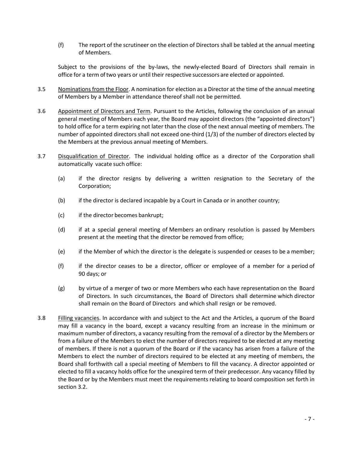(f) The report of the scrutineer on the election of Directors shall be tabled at the annual meeting of Members.

Subject to the provisions of the by-laws, the newly-elected Board of Directors shall remain in office for a term of two years or until their respective successors are elected or appointed.

- 3.5 Nominations from the Floor. A nomination for election as a Director at the time of the annual meeting of Members by a Member in attendance thereof shall not be permitted.
- 3.6 Appointment of Directors and Term. Pursuant to the Articles, following the conclusion of an annual general meeting of Members each year, the Board may appoint directors (the "appointed directors") to hold office for a term expiring not later than the close of the next annual meeting of members. The number of appointed directors shall not exceed one-third (1/3) of the number of directors elected by the Members at the previous annual meeting of Members.
- 3.7 Disqualification of Director. The individual holding office as a director of the Corporation shall automatically vacate such office:
	- (a) if the director resigns by delivering a written resignation to the Secretary of the Corporation;
	- (b) if the director is declared incapable by a Court in Canada or in another country;
	- (c) if the director becomes bankrupt;
	- (d) if at a special general meeting of Members an ordinary resolution is passed by Members present at the meeting that the director be removed from office;
	- (e) if the Member of which the director is the delegate is suspended or ceases to be a member;
	- (f) if the director ceases to be a director, officer or employee of a member for a period of 90 days; or
	- (g) by virtue of a merger of two or more Members who each have representation on the Board of Directors. In such circumstances, the Board of Directors shall determine which director shall remain on the Board of Directors and which shall resign or be removed.
- 3.8 Filling vacancies. In accordance with and subject to the Act and the Articles, a quorum of the Board may fill a vacancy in the board, except a vacancy resulting from an increase in the minimum or maximum number of directors, a vacancy resulting from the removal of a director by the Members or from a failure of the Members to elect the number of directors required to be elected at any meeting of members. If there is not a quorum of the Board or if the vacancy has arisen from a failure of the Members to elect the number of directors required to be elected at any meeting of members, the Board shall forthwith call a special meeting of Members to fill the vacancy. A director appointed or elected to fill a vacancy holds office for the unexpired term of their predecessor. Any vacancy filled by the Board or by the Members must meet the requirements relating to board composition set forth in section 3.2.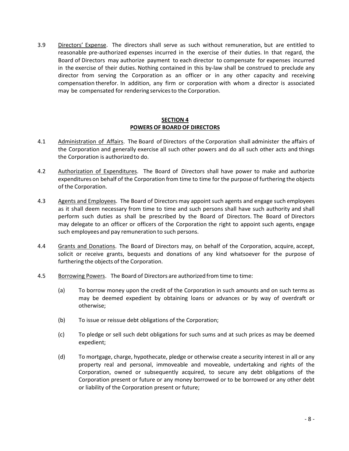3.9 Directors' Expense. The directors shall serve as such without remuneration, but are entitled to reasonable pre‐authorized expenses incurred in the exercise of their duties. In that regard, the Board of Directors may authorize payment to each director to compensate for expenses incurred in the exercise of their duties. Nothing contained in this by‐law shall be construed to preclude any director from serving the Corporation as an officer or in any other capacity and receiving compensation therefor. In addition, any firm or corporation with whom a director is associated may be compensated for rendering servicesto the Corporation.

#### **SECTION 4 POWERS OF BOARDOF DIRECTORS**

- 4.1 Administration of Affairs. The Board of Directors of the Corporation shall administer the affairs of the Corporation and generally exercise all such other powers and do all such other acts and things the Corporation is authorized to do.
- 4.2 Authorization of Expenditures. The Board of Directors shall have power to make and authorize expenditures on behalf of the Corporation from time to time for the purpose of furthering the objects of the Corporation.
- 4.3 Agents and Employees. The Board of Directors may appoint such agents and engage such employees as it shall deem necessary from time to time and such persons shall have such authority and shall perform such duties as shall be prescribed by the Board of Directors. The Board of Directors may delegate to an officer or officers of the Corporation the right to appoint such agents, engage such employees and pay remuneration to such persons.
- 4.4 Grants and Donations. The Board of Directors may, on behalf of the Corporation, acquire, accept, solicit or receive grants, bequests and donations of any kind whatsoever for the purpose of furthering the objects of the Corporation.
- 4.5 Borrowing Powers. The Board of Directors are authorized from time to time:
	- (a) To borrow money upon the credit of the Corporation in such amounts and on such terms as may be deemed expedient by obtaining loans or advances or by way of overdraft or otherwise;
	- (b) To issue or reissue debt obligations of the Corporation;
	- (c) To pledge or sell such debt obligations for such sums and at such prices as may be deemed expedient;
	- (d) To mortgage, charge, hypothecate, pledge or otherwise create a security interest in all or any property real and personal, immoveable and moveable, undertaking and rights of the Corporation, owned or subsequently acquired, to secure any debt obligations of the Corporation present or future or any money borrowed or to be borrowed or any other debt or liability of the Corporation present or future;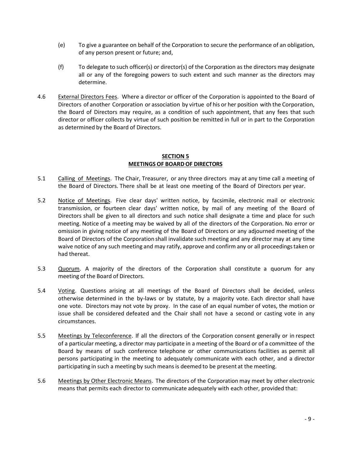- (e) To give a guarantee on behalf of the Corporation to secure the performance of an obligation, of any person present or future; and,
- (f) To delegate to such officer(s) or director(s) of the Corporation as the directors may designate all or any of the foregoing powers to such extent and such manner as the directors may determine.
- 4.6 External Directors Fees. Where a director or officer of the Corporation is appointed to the Board of Directors of another Corporation or association by virtue of his or her position with the Corporation, the Board of Directors may require, as a condition of such appointment, that any fees that such director or officer collects by virtue of such position be remitted in full or in part to the Corporation as determined by the Board of Directors.

#### **SECTION 5 MEETINGS OF BOARDOF DIRECTORS**

- 5.1 Calling of Meetings. The Chair, Treasurer, or any three directors may at any time call a meeting of the Board of Directors. There shall be at least one meeting of the Board of Directors per year.
- 5.2 Notice of Meetings. Five clear days' written notice, by facsimile, electronic mail or electronic transmission, or fourteen clear days' written notice, by mail of any meeting of the Board of Directors shall be given to all directors and such notice shall designate a time and place for such meeting. Notice of a meeting may be waived by all of the directors of the Corporation. No error or omission in giving notice of any meeting of the Board of Directors or any adjourned meeting of the Board of Directors of the Corporation shall invalidate such meeting and any director may at any time waive notice of any such meeting and may ratify, approve and confirm any or all proceedings taken or had thereat.
- 5.3 Quorum. A majority of the directors of the Corporation shall constitute a quorum for any meeting of the Board of Directors.
- 5.4 Voting. Questions arising at all meetings of the Board of Directors shall be decided, unless otherwise determined in the by‐laws or by statute, by a majority vote. Each director shall have one vote. Directors may not vote by proxy. In the case of an equal number of votes, the motion or issue shall be considered defeated and the Chair shall not have a second or casting vote in any circumstances.
- 5.5 Meetings by Teleconference. If all the directors of the Corporation consent generally or in respect of a particular meeting, a director may participate in a meeting of the Board or of a committee of the Board by means of such conference telephone or other communications facilities as permit all persons participating in the meeting to adequately communicate with each other, and a director participating in such a meeting by such meansis deemed to be present at the meeting.
- 5.6 Meetings by Other Electronic Means. The directors of the Corporation may meet by other electronic means that permits each director to communicate adequately with each other, provided that: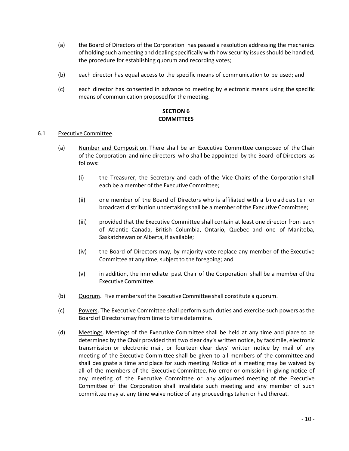- (a) the Board of Directors of the Corporation has passed a resolution addressing the mechanics of holding such a meeting and dealing specifically with how security issuesshould be handled, the procedure for establishing quorum and recording votes;
- (b) each director has equal access to the specific means of communication to be used; and
- (c) each director has consented in advance to meeting by electronic means using the specific means of communication proposed for the meeting.

## **SECTION 6 COMMITTEES**

#### 6.1 Executive Committee.

- (a) Number and Composition. There shall be an Executive Committee composed of the Chair of the Corporation and nine directors who shall be appointed by the Board of Directors as follows:
	- (i) the Treasurer, the Secretary and each of the Vice‐Chairs of the Corporation shall each be a member of the Executive Committee;
	- (ii) one member of the Board of Directors who is affiliated with a broadcaster or broadcast distribution undertaking shall be a member of the Executive Committee;
	- (iii) provided that the Executive Committee shall contain at least one director from each of Atlantic Canada, British Columbia, Ontario, Quebec and one of Manitoba, Saskatchewan or Alberta, if available;
	- (iv) the Board of Directors may, by majority vote replace any member of the Executive Committee at any time, subject to the foregoing; and
	- (v) in addition, the immediate past Chair of the Corporation shall be a member of the Executive Committee.
- (b) Quorum. Five members of the Executive Committee shall constitute a quorum.
- (c) Powers. The Executive Committee shall perform such duties and exercise such powers as the Board of Directors may from time to time determine.
- (d) Meetings. Meetings of the Executive Committee shall be held at any time and place to be determined by the Chair provided that two clear day's written notice, by facsimile, electronic transmission or electronic mail, or fourteen clear days' written notice by mail of any meeting of the Executive Committee shall be given to all members of the committee and shall designate a time and place for such meeting. Notice of a meeting may be waived by all of the members of the Executive Committee. No error or omission in giving notice of any meeting of the Executive Committee or any adjourned meeting of the Executive Committee of the Corporation shall invalidate such meeting and any member of such committee may at any time waive notice of any proceedings taken or had thereat.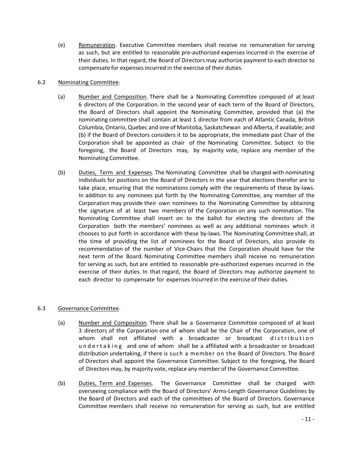(e) Remuneration. Executive Committee members shall receive no remuneration for serving as such, but are entitled to reasonable pre‐authorized expenses incurred in the exercise of their duties. In that regard, the Board of Directors may authorize payment to each director to compensate for expensesincurred in the exercise of their duties.

#### 6.2 Nominating Committee.

- (a) Number and Composition. There shall be a Nominating Committee composed of at least 6 directors of the Corporation. In the second year of each term of the Board of Directors, the Board of Directors shall appoint the Nominating Committee, provided that (a) the nominating committee shall contain at least 1 director from each of Atlantic Canada, British Columbia, Ontario, Quebec and one of Manitoba, Saskatchewan and Alberta, if available; and (b) if the Board of Directors considers it to be appropriate, the immediate past Chair of the Corporation shall be appointed as chair of the Nominating Committee. Subject to the foregoing, the Board of Directors may, by majority vote, replace any member of the Nominating Committee.
- (b) Duties, Term and Expenses. The Nominating Committee shall be charged with nominating individuals for positions on the Board of Directors in the year that elections therefor are to take place, ensuring that the nominations comply with the requirements of these by‐laws. In addition to any nominees put forth by the Nominating Committee, any member of the Corporation may provide their own nominees to the Nominating Committee by obtaining the signature of at least two members of the Corporation on any such nomination. The Nominating Committee shall insert on to the ballot for electing the directors of the Corporation both the members' nominees as well as any additional nominees which it chooses to put forth in accordance with these by‐laws. The Nominating Committee shall, at the time of providing the list of nominees for the Board of Directors, also provide its recommendation of the number of Vice‐Chairs that the Corporation should have for the next term of the Board. Nominating Committee members shall receive no remuneration for serving as such, but are entitled to reasonable pre‐authorized expenses incurred in the exercise of their duties. In that regard, the Board of Directors may authorize payment to each director to compensate for expenses incurred in the exercise of their duties.

# 6.3 Governance Committee.

- (a) Number and Composition. There shall be a Governance Committee composed of at least 3 directors of the Corporation one of whom shall be the Chair of the Corporation, one of whom shall not affiliated with a broadcaster or broadcast distribution undertaking and one of whom shall be a affiliated with a broadcaster or broadcast distribution undertaking, if there is such a member on the Board of Directors. The Board of Directors shall appoint the Governance Committee. Subject to the foregoing, the Board of Directors may, by majority vote, replace any member of the Governance Committee.
- (b) Duties, Term and Expenses. The Governance Committee shall be charged with overseeing compliance with the Board of Directors' Arms‐Length Governance Guidelines by the Board of Directors and each of the committees of the Board of Directors. Governance Committee members shall receive no remuneration for serving as such, but are entitled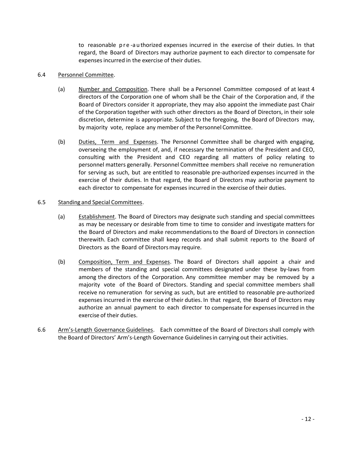to reasonable pre-authorized expenses incurred in the exercise of their duties. In that regard, the Board of Directors may authorize payment to each director to compensate for expensesincurred in the exercise of their duties.

#### 6.4 Personnel Committee.

- (a) Number and Composition. There shall be a Personnel Committee composed of at least 4 directors of the Corporation one of whom shall be the Chair of the Corporation and, if the Board of Directors consider it appropriate, they may also appoint the immediate past Chair of the Corporation together with such other directors as the Board of Directors, in their sole discretion, determine is appropriate. Subject to the foregoing, the Board of Directors may, by majority vote, replace any member of the Personnel Committee.
- (b) Duties, Term and Expenses. The Personnel Committee shall be charged with engaging, overseeing the employment of, and, if necessary the termination of the President and CEO, consulting with the President and CEO regarding all matters of policy relating to personnel matters generally. Personnel Committee members shall receive no remuneration for serving as such, but are entitled to reasonable pre-authorized expenses incurred in the exercise of their duties. In that regard, the Board of Directors may authorize payment to each director to compensate for expenses incurred in the exercise of their duties.

#### 6.5 Standing and Special Committees.

- (a) Establishment. The Board of Directors may designate such standing and special committees as may be necessary or desirable from time to time to consider and investigate matters for the Board of Directors and make recommendationsto the Board of Directors in connection therewith. Each committee shall keep records and shall submit reports to the Board of Directors as the Board of Directorsmay require.
- (b) Composition, Term and Expenses. The Board of Directors shall appoint a chair and members of the standing and special committees designated under these by-laws from among the directors of the Corporation. Any committee member may be removed by a majority vote of the Board of Directors. Standing and special committee members shall receive no remuneration for serving as such, but are entitled to reasonable pre‐authorized expenses incurred in the exercise of their duties. In that regard, the Board of Directors may authorize an annual payment to each director to compensate for expensesincurred in the exercise of their duties.
- 6.6 Arm's-Length Governance Guidelines. Each committee of the Board of Directors shall comply with the Board of Directors' Arm's-Length Governance Guidelinesin carrying out their activities.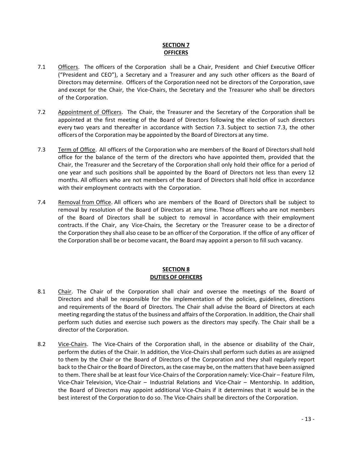### **SECTION 7 OFFICERS**

- 7.1 Officers. The officers of the Corporation shall be a Chair, President and Chief Executive Officer ("President and CEO"), a Secretary and a Treasurer and any such other officers as the Board of Directors may determine. Officers of the Corporation need not be directors of the Corporation,save and except for the Chair, the Vice‐Chairs, the Secretary and the Treasurer who shall be directors of the Corporation.
- 7.2 Appointment of Officers. The Chair, the Treasurer and the Secretary of the Corporation shall be appointed at the first meeting of the Board of Directors following the election of such directors every two years and thereafter in accordance with Section 7.3. Subject to section 7.3, the other officers of the Corporation may be appointed by the Board of Directors at any time.
- 7.3 Term of Office. All officers of the Corporation who are members of the Board of Directors shall hold office for the balance of the term of the directors who have appointed them, provided that the Chair, the Treasurer and the Secretary of the Corporation shall only hold their office for a period of one year and such positions shall be appointed by the Board of Directors not less than every 12 months. All officers who are not members of the Board of Directors shall hold office in accordance with their employment contracts with the Corporation.
- 7.4 Removal from Office. All officers who are members of the Board of Directors shall be subject to removal by resolution of the Board of Directors at any time. Those officers who are not members of the Board of Directors shall be subject to removal in accordance with their employment contracts. If the Chair, any Vice‐Chairs, the Secretary or the Treasurer cease to be a director of the Corporation they shall also cease to be an officer of the Corporation. If the office of any officer of the Corporation shall be or become vacant, the Board may appoint a person to fill such vacancy.

#### **SECTION 8 DUTIESOF OFFICERS**

- 8.1 Chair. The Chair of the Corporation shall chair and oversee the meetings of the Board of Directors and shall be responsible for the implementation of the policies, guidelines, directions and requirements of the Board of Directors. The Chair shall advise the Board of Directors at each meeting regarding the status of the business and affairs of the Corporation. In addition, the Chair shall perform such duties and exercise such powers as the directors may specify. The Chair shall be a director of the Corporation.
- 8.2 Vice-Chairs. The Vice-Chairs of the Corporation shall, in the absence or disability of the Chair, perform the duties of the Chair. In addition, the Vice‐Chairsshall perform such duties as are assigned to them by the Chair or the Board of Directors of the Corporation and they shall regularly report back to the Chair or the Board of Directors, asthe casemay be, on the mattersthat have been assigned to them. There shall be at least four Vice‐Chairs of the Corporation namely: Vice‐Chair – Feature Film, Vice‐Chair Television, Vice‐Chair – Industrial Relations and Vice‐Chair – Mentorship. In addition, the Board of Directors may appoint additional Vice‐Chairs if it determines that it would be in the best interest of the Corporation to do so. The Vice-Chairs shall be directors of the Corporation.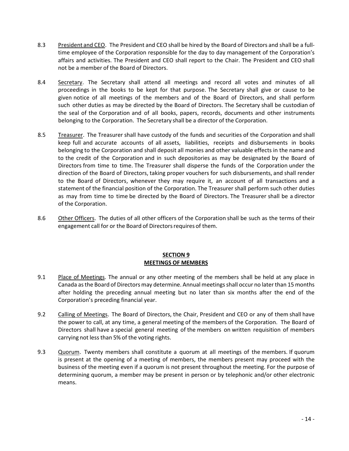- 8.3 President and CEO. The President and CEO shall be hired by the Board of Directors and shall be a fulltime employee of the Corporation responsible for the day to day management of the Corporation's affairs and activities. The President and CEO shall report to the Chair. The President and CEO shall not be a member of the Board of Directors.
- 8.4 Secretary. The Secretary shall attend all meetings and record all votes and minutes of all proceedings in the books to be kept for that purpose. The Secretary shall give or cause to be given notice of all meetings of the members and of the Board of Directors, and shall perform such other duties as may be directed by the Board of Directors. The Secretary shall be custodian of the seal of the Corporation and of all books, papers, records, documents and other instruments belonging to the Corporation. The Secretary shall be a director of the Corporation.
- 8.5 Treasurer. The Treasurer shall have custody of the funds and securities of the Corporation and shall keep full and accurate accounts of all assets, liabilities, receipts and disbursements in books belonging to the Corporation and shall deposit all monies and other valuable effects in the name and to the credit of the Corporation and in such depositories as may be designated by the Board of Directors from time to time. The Treasurer shall disperse the funds of the Corporation under the direction of the Board of Directors, taking proper vouchers for such disbursements, and shall render to the Board of Directors, whenever they may require it, an account of all transactions and a statement of the financial position of the Corporation. The Treasurer shall perform such other duties as may from time to time be directed by the Board of Directors. The Treasurer shall be a director of the Corporation.
- 8.6 Other Officers. The duties of all other officers of the Corporation shall be such as the terms of their engagement call for or the Board of Directors requires of them.

#### **SECTION 9 MEETINGS OF MEMBERS**

- 9.1 Place of Meetings. The annual or any other meeting of the members shall be held at any place in Canada as the Board of Directors may determine. Annual meetings shall occur no later than 15 months after holding the preceding annual meeting but no later than six months after the end of the Corporation's preceding financial year.
- 9.2 Calling of Meetings. The Board of Directors, the Chair, President and CEO or any of them shall have the power to call, at any time, a general meeting of the members of the Corporation. The Board of Directors shall have a special general meeting of the members on written requisition of members carrying not less than 5% of the voting rights.
- 9.3 Quorum. Twenty members shall constitute a quorum at all meetings of the members. If quorum is present at the opening of a meeting of members, the members present may proceed with the business of the meeting even if a quorum is not present throughout the meeting. For the purpose of determining quorum, a member may be present in person or by telephonic and/or other electronic means.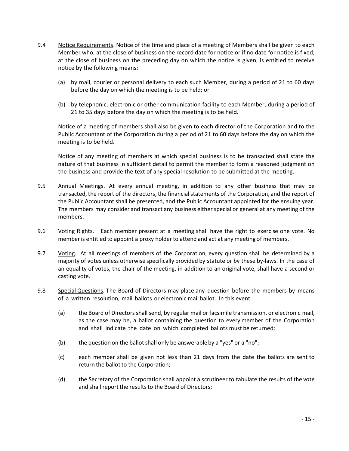- 9.4 Notice Requirements. Notice of the time and place of a meeting of Members shall be given to each Member who, at the close of business on the record date for notice or if no date for notice is fixed, at the close of business on the preceding day on which the notice is given, is entitled to receive notice by the following means:
	- (a) by mail, courier or personal delivery to each such Member, during a period of 21 to 60 days before the day on which the meeting is to be held; or
	- (b) by telephonic, electronic or other communication facility to each Member, during a period of 21 to 35 days before the day on which the meeting is to be held.

Notice of a meeting of members shall also be given to each director of the Corporation and to the Public Accountant of the Corporation during a period of 21 to 60 days before the day on which the meeting is to be held.

Notice of any meeting of members at which special business is to be transacted shall state the nature of that business in sufficient detail to permit the member to form a reasoned judgment on the business and provide the text of any special resolution to be submitted at the meeting.

- 9.5 Annual Meetings. At every annual meeting, in addition to any other business that may be transacted, the report of the directors, the financial statements of the Corporation, and the report of the Public Accountant shall be presented, and the Public Accountant appointed for the ensuing year. The members may consider and transact any business either special or general at any meeting of the members.
- 9.6 Voting Rights. Each member present at a meeting shall have the right to exercise one vote. No memberis entitled to appoint a proxy holder to attend and act at any meeting of members.
- 9.7 Voting. At all meetings of members of the Corporation, every question shall be determined by a majority of votes unless otherwise specifically provided by statute or by these by‐laws. In the case of an equality of votes, the chair of the meeting, in addition to an original vote, shall have a second or casting vote.
- 9.8 Special Questions. The Board of Directors may place any question before the members by means of a written resolution, mail ballots or electronic mail ballot. In this event:
	- (a) the Board of Directors shall send, by regular mail or facsimile transmission, or electronic mail, as the case may be, a ballot containing the question to every member of the Corporation and shall indicate the date on which completed ballots must be returned;
	- (b) the question on the ballot shall only be answerable by a "yes" or a "no";
	- (c) each member shall be given not less than 21 days from the date the ballots are sent to return the ballot to the Corporation;
	- (d) the Secretary of the Corporation shall appoint a scrutineer to tabulate the results of the vote and shall report the results to the Board of Directors;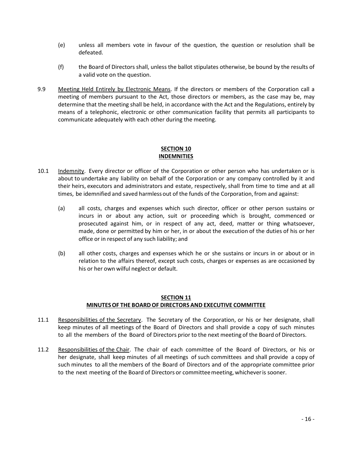- (e) unless all members vote in favour of the question, the question or resolution shall be defeated.
- (f) the Board of Directors shall, unless the ballot stipulates otherwise, be bound by the results of a valid vote on the question.
- 9.9 Meeting Held Entirely by Electronic Means. If the directors or members of the Corporation call a meeting of members pursuant to the Act, those directors or members, as the case may be, may determine that the meeting shall be held, in accordance with the Act and the Regulations, entirely by means of a telephonic, electronic or other communication facility that permits all participants to communicate adequately with each other during the meeting.

#### **SECTION 10 INDEMNITIES**

- 10.1 Indemnity. Every director or officer of the Corporation or other person who has undertaken or is about to undertake any liability on behalf of the Corporation or any company controlled by it and their heirs, executors and administrators and estate, respectively, shall from time to time and at all times, be idemnified and saved harmless out of the funds of the Corporation, from and against:
	- (a) all costs, charges and expenses which such director, officer or other person sustains or incurs in or about any action, suit or proceeding which is brought, commenced or prosecuted against him, or in respect of any act, deed, matter or thing whatsoever, made, done or permitted by him or her, in or about the execution of the duties of his or her office or in respect of any such liability; and
	- (b) all other costs, charges and expenses which he or she sustains or incurs in or about or in relation to the affairs thereof, except such costs, charges or expenses as are occasioned by his or her own wilful neglect or default.

# **SECTION 11 MINUTESOF THE BOARDOF DIRECTORS AND EXECUTIVE COMMITTEE**

- 11.1 Responsibilities of the Secretary. The Secretary of the Corporation, or his or her designate, shall keep minutes of all meetings of the Board of Directors and shall provide a copy of such minutes to all the members of the Board of Directors prior to the next meeting of the Board of Directors.
- 11.2 Responsibilities of the Chair. The chair of each committee of the Board of Directors, or his or her designate, shall keep minutes of all meetings of such committees and shall provide a copy of such minutes to all the members of the Board of Directors and of the appropriate committee prior to the next meeting of the Board of Directors or committeemeeting, whicheveris sooner.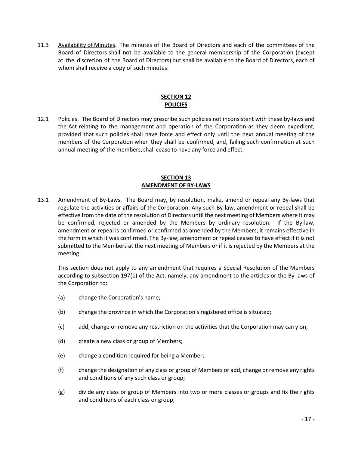11.3 Availability of Minutes. The minutes of the Board of Directors and each of the committees of the Board of Directors shall not be available to the general membership of the Corporation (except at the discretion of the Board of Directors) but shall be available to the Board of Directors, each of whom shall receive a copy of such minutes.

# **SECTION 12 POLICIES**

12.1 Policies. The Board of Directors may prescribe such policies not inconsistent with these by-laws and the Act relating to the management and operation of the Corporation as they deem expedient, provided that such policies shall have force and effect only until the next annual meeting of the members of the Corporation when they shall be confirmed, and, failing such confirmation at such annual meeting of the members, shall cease to have any force and effect.

#### **SECTION 13 AMENDMENTOF BY-LAWS**

13.1 Amendment of By-Laws. The Board may, by resolution, make, amend or repeal any By-laws that regulate the activities or affairs of the Corporation. Any such By-law, amendment or repeal shall be effective from the date of the resolution of Directors until the next meeting of Members where it may be confirmed, rejected or amended by the Members by ordinary resolution. If the By-law, amendment or repeal is confirmed or confirmed as amended by the Members, it remains effective in the form in which it was confirmed. The By-law, amendment or repeal ceases to have effect if it is not submitted to the Members at the next meeting of Members or if it is rejected by the Members at the meeting.

This section does not apply to any amendment that requires a Special Resolution of the Members according to subsection 197(1) of the Act, namely, any amendment to the articles or the By-laws of the Corporation to:

- (a) change the Corporation's name;
- (b) change the province in which the Corporation's registered office is situated;
- (c) add, change or remove any restriction on the activities that the Corporation may carry on;
- (d) create a new class or group of Members;
- (e) change a condition required for being a Member;
- (f) change the designation of any class or group of Members or add, change or remove any rights and conditions of any such class or group;
- (g) divide any class or group of Members into two or more classes or groups and fix the rights and conditions of each class or group;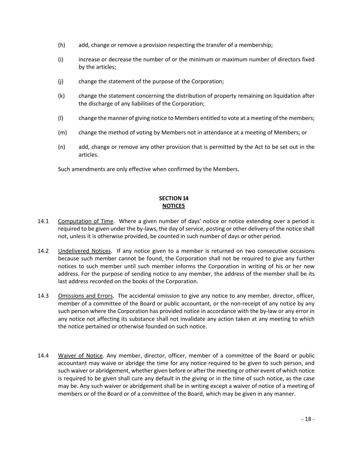- (h) add, change or remove a provision respecting the transfer of a membership;
- (i) increase or decrease the number of or the minimum or maximum number of directors fixed by the articles;
- (j) change the statement of the purpose of the Corporation;
- (k) change the statement concerning the distribution of property remaining on liquidation after the discharge of any liabilities of the Corporation;
- (l) change the manner of giving notice to Members entitled to vote at a meeting of the members;
- (m) change the method of voting by Members not in attendance at a meeting of Members; or
- (n) add, change or remove any other provision that is permitted by the Act to be set out in the articles.

Such amendments are only effective when confirmed by the Members.

# **SECTION 14 NOTICES**

- 14.1 Computation of Time. Where a given number of days' notice or notice extending over a period is required to be given under the by-laws, the day of service, posting or other delivery of the notice shall not, unless it is otherwise provided, be counted in such number of days or other period.
- 14.2 Undelivered Notices. If any notice given to a member is returned on two consecutive occasions because such member cannot be found, the Corporation shall not be required to give any further notices to such member until such member informs the Corporation in writing of his or her new address. For the purpose of sending notice to any member, the address of the member shall be its last address recorded on the books of the Corporation.
- 14.3 Omissions and Errors. The accidental omission to give any notice to any member, director, officer, member of a committee of the Board or public accountant, or the non-receipt of any notice by any such person where the Corporation has provided notice in accordance with the by-law or any error in any notice not affecting its substance shall not invalidate any action taken at any meeting to which the notice pertained or otherwise founded on such notice.
- 14.4 Waiver of Notice. Any member, director, officer, member of a committee of the Board or public accountant may waive or abridge the time for any notice required to be given to such person, and such waiver or abridgement, whether given before or after the meeting or other event of which notice is required to be given shall cure any default in the giving or in the time of such notice, as the case may be. Any such waiver or abridgement shall be in writing except a waiver of notice of a meeting of members or of the Board or of a committee of the Board, which may be given in any manner.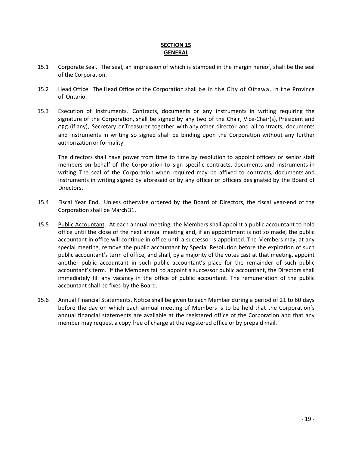### **SECTION 15 GENERAL**

- 15.1 Corporate Seal. The seal, an impression of which is stamped in the margin hereof, shall be the seal of the Corporation.
- 15.2 Head Office. The Head Office of the Corporation shall be in the City of Ottawa, in the Province of Ontario.
- 15.3 Execution of Instruments. Contracts, documents or any instruments in writing requiring the signature of the Corporation, shall be signed by any two of the Chair, Vice-Chair(s), President and CEO (if any), Secretary or Treasurer together with any other director and all contracts, documents and instruments in writing so signed shall be binding upon the Corporation without any further authorization or formality.

The directors shall have power from time to time by resolution to appoint officers or senior staff members on behalf of the Corporation to sign specific contracts, documents and instruments in writing. The seal of the Corporation when required may be affixed to contracts, documents and instruments in writing signed by aforesaid or by any officer or officers designated by the Board of Directors.

- 15.4 Fiscal Year End. Unless otherwise ordered by the Board of Directors, the fiscal year‐end of the Corporation shall be March 31.
- 15.5 Public Accountant. At each annual meeting, the Members shall appoint a public accountant to hold office until the close of the next annual meeting and, if an appointment is not so made, the public accountant in office will continue in office until a successor is appointed. The Members may, at any special meeting, remove the public accountant by Special Resolution before the expiration of such public accountant's term of office, and shall, by a majority of the votes cast at that meeting, appoint another public accountant in such public accountant's place for the remainder of such public accountant's term. If the Members fail to appoint a successor public accountant, the Directors shall immediately fill any vacancy in the office of public accountant. The remuneration of the public accountant shall be fixed by the Board.
- 15.6 Annual Financial Statements. Notice shall be given to each Member during a period of 21 to 60 days before the day on which each annual meeting of Members is to be held that the Corporation's annual financial statements are available at the registered office of the Corporation and that any member may request a copy free of charge at the registered office or by prepaid mail.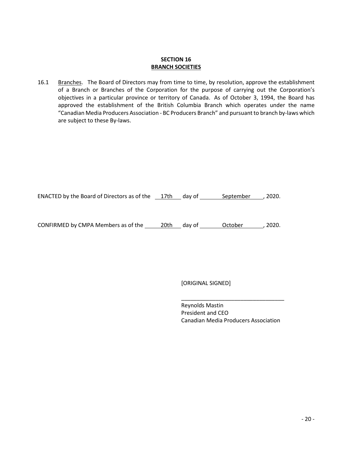# **SECTION 16 BRANCH SOCIETIES**

16.1 Branches. The Board of Directors may from time to time, by resolution, approve the establishment of a Branch or Branches of the Corporation for the purpose of carrying out the Corporation's objectives in a particular province or territory of Canada. As of October 3, 1994, the Board has approved the establishment of the British Columbia Branch which operates under the name "Canadian Media Producers Association - BC Producers Branch" and pursuant to branch by-laws which are subject to these By-laws.

| <b>ENACTED by the Board of Directors as of the</b><br>17th | dav of | September | , 2020. |
|------------------------------------------------------------|--------|-----------|---------|
|------------------------------------------------------------|--------|-----------|---------|

CONFIRMED by CMPA Members as of the \_\_\_\_\_\_ 20th \_\_\_ day of \_\_\_\_\_\_\_ October \_\_\_\_\_\_, 2020.

[ORIGINAL SIGNED]

Reynolds Mastin President and CEO Canadian Media Producers Association

\_\_\_\_\_\_\_\_\_\_\_\_\_\_\_\_\_\_\_\_\_\_\_\_\_\_\_\_\_\_\_\_\_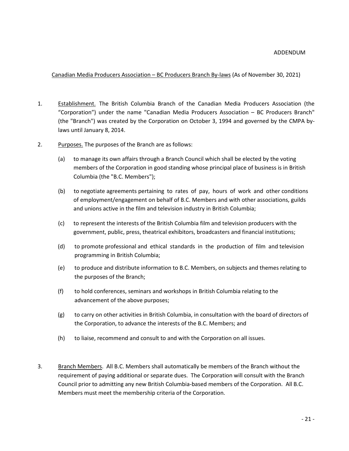#### Canadian Media Producers Association – BC Producers Branch By-laws (As of November 30, 2021)

- 1. Establishment. The British Columbia Branch of the Canadian Media Producers Association (the "Corporation") under the name "Canadian Media Producers Association – BC Producers Branch" (the "Branch") was created by the Corporation on October 3, 1994 and governed by the CMPA bylaws until January 8, 2014.
- 2. Purposes. The purposes of the Branch are as follows:
	- (a) to manage its own affairs through a Branch Council which shall be elected by the voting members of the Corporation in good standing whose principal place of business is in British Columbia (the "B.C. Members");
	- (b) to negotiate agreements pertaining to rates of pay, hours of work and other conditions of employment/engagement on behalf of B.C. Members and with other associations, guilds and unions active in the film and television industry in British Columbia;
	- (c) to represent the interests of the British Columbia film and television producers with the government, public, press, theatrical exhibitors, broadcasters and financial institutions;
	- (d) to promote professional and ethical standards in the production of film and television programming in British Columbia;
	- (e) to produce and distribute information to B.C. Members, on subjects and themes relating to the purposes of the Branch;
	- (f) to hold conferences, seminars and workshops in British Columbia relating to the advancement of the above purposes;
	- (g) to carry on other activities in British Columbia, in consultation with the board of directors of the Corporation, to advance the interests of the B.C. Members; and
	- (h) to liaise, recommend and consult to and with the Corporation on all issues.
- 3. Branch Members. All B.C. Members shall automatically be members of the Branch without the requirement of paying additional or separate dues. The Corporation will consult with the Branch Council prior to admitting any new British Columbia-based members of the Corporation. All B.C. Members must meet the membership criteria of the Corporation.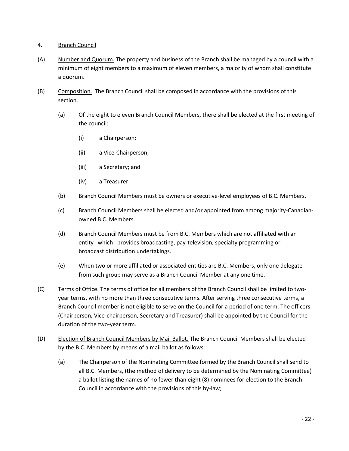#### 4. Branch Council

- (A) Number and Quorum. The property and business of the Branch shall be managed by a council with a minimum of eight members to a maximum of eleven members, a majority of whom shall constitute a quorum.
- (B) Composition. The Branch Council shall be composed in accordance with the provisions of this section.
	- (a) Of the eight to eleven Branch Council Members, there shall be elected at the first meeting of the council:
		- (i) a Chairperson;
		- (ii) a Vice-Chairperson;
		- (iii) a Secretary; and
		- (iv) a Treasurer
	- (b) Branch Council Members must be owners or executive-level employees of B.C. Members.
	- (c) Branch Council Members shall be elected and/or appointed from among majority-Canadianowned B.C. Members.
	- (d) Branch Council Members must be from B.C. Members which are not affiliated with an entity which provides broadcasting, pay-television, specialty programming or broadcast distribution undertakings.
	- (e) When two or more affiliated or associated entities are B.C. Members, only one delegate from such group may serve as a Branch Council Member at any one time.
- (C) Terms of Office. The terms of office for all members of the Branch Council shall be limited to twoyear terms, with no more than three consecutive terms. After serving three consecutive terms, a Branch Council member is not eligible to serve on the Council for a period of one term. The officers (Chairperson, Vice-chairperson, Secretary and Treasurer) shall be appointed by the Council for the duration of the two-year term.
- (D) Election of Branch Council Members by Mail Ballot. The Branch Council Members shall be elected by the B.C. Members by means of a mail ballot as follows:
	- (a) The Chairperson of the Nominating Committee formed by the Branch Council shall send to all B.C. Members, (the method of delivery to be determined by the Nominating Committee) a ballot listing the names of no fewer than eight (8) nominees for election to the Branch Council in accordance with the provisions of this by-law;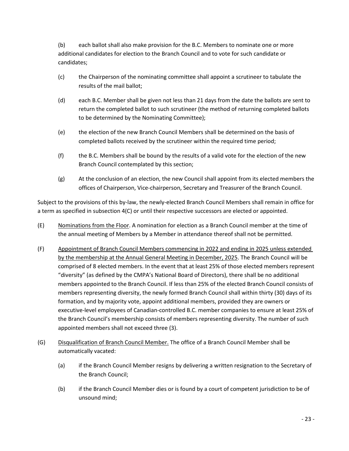(b) each ballot shall also make provision for the B.C. Members to nominate one or more additional candidates for election to the Branch Council and to vote for such candidate or candidates;

- (c) the Chairperson of the nominating committee shall appoint a scrutineer to tabulate the results of the mail ballot;
- (d) each B.C. Member shall be given not less than 21 days from the date the ballots are sent to return the completed ballot to such scrutineer (the method of returning completed ballots to be determined by the Nominating Committee);
- (e) the election of the new Branch Council Members shall be determined on the basis of completed ballots received by the scrutineer within the required time period;
- (f) the B.C. Members shall be bound by the results of a valid vote for the election of the new Branch Council contemplated by this section;
- (g) At the conclusion of an election, the new Council shall appoint from its elected members the offices of Chairperson, Vice-chairperson, Secretary and Treasurer of the Branch Council.

Subject to the provisions of this by-law, the newly-elected Branch Council Members shall remain in office for a term as specified in subsection 4(C) or until their respective successors are elected or appointed.

- (E) Nominations from the Floor. A nomination for election as a Branch Council member at the time of the annual meeting of Members by a Member in attendance thereof shall not be permitted.
- (F) Appointment of Branch Council Members commencing in 2022 and ending in 2025 unless extended by the membership at the Annual General Meeting in December, 2025. The Branch Council will be comprised of 8 elected members. In the event that at least 25% of those elected members represent "diversity" (as defined by the CMPA's National Board of Directors), there shall be no additional members appointed to the Branch Council. If less than 25% of the elected Branch Council consists of members representing diversity, the newly formed Branch Council shall within thirty (30) days of its formation, and by majority vote, appoint additional members, provided they are owners or executive-level employees of Canadian-controlled B.C. member companies to ensure at least 25% of the Branch Council's membership consists of members representing diversity. The number of such appointed members shall not exceed three (3).
- (G) Disqualification of Branch Council Member. The office of a Branch Council Member shall be automatically vacated:
	- (a) if the Branch Council Member resigns by delivering a written resignation to the Secretary of the Branch Council;
	- (b) if the Branch Council Member dies or is found by a court of competent jurisdiction to be of unsound mind;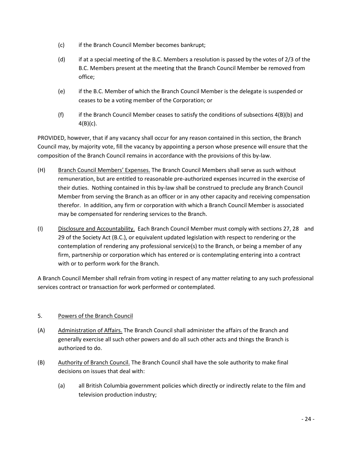- (c) if the Branch Council Member becomes bankrupt;
- (d) if at a special meeting of the B.C. Members a resolution is passed by the votes of 2/3 of the B.C. Members present at the meeting that the Branch Council Member be removed from office;
- (e) if the B.C. Member of which the Branch Council Member is the delegate is suspended or ceases to be a voting member of the Corporation; or
- (f) if the Branch Council Member ceases to satisfy the conditions of subsections  $4(B)(b)$  and  $4(B)(c)$ .

PROVIDED, however, that if any vacancy shall occur for any reason contained in this section, the Branch Council may, by majority vote, fill the vacancy by appointing a person whose presence will ensure that the composition of the Branch Council remains in accordance with the provisions of this by-law.

- (H) Branch Council Members' Expenses. The Branch Council Members shall serve as such without remuneration, but are entitled to reasonable pre-authorized expenses incurred in the exercise of their duties. Nothing contained in this by-law shall be construed to preclude any Branch Council Member from serving the Branch as an officer or in any other capacity and receiving compensation therefor. In addition, any firm or corporation with which a Branch Council Member is associated may be compensated for rendering services to the Branch.
- (I) Disclosure and Accountability. Each Branch Council Member must comply with sections 27, 28 and 29 of the Society Act (B.C.), or equivalent updated legislation with respect to rendering or the contemplation of rendering any professional service(s) to the Branch, or being a member of any firm, partnership or corporation which has entered or is contemplating entering into a contract with or to perform work for the Branch.

A Branch Council Member shall refrain from voting in respect of any matter relating to any such professional services contract or transaction for work performed or contemplated.

# 5. Powers of the Branch Council

- (A) Administration of Affairs. The Branch Council shall administer the affairs of the Branch and generally exercise all such other powers and do all such other acts and things the Branch is authorized to do.
- (B) Authority of Branch Council. The Branch Council shall have the sole authority to make final decisions on issues that deal with:
	- (a) all British Columbia government policies which directly or indirectly relate to the film and television production industry;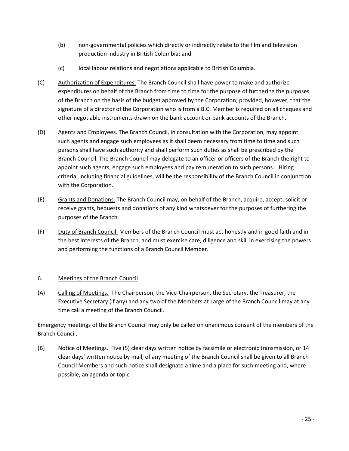- (b) non-governmental policies which directly or indirectly relate to the film and television production industry in British Columbia; and
- (c) local labour relations and negotiations applicable to British Columbia.
- (C) Authorization of Expenditures. The Branch Council shall have power to make and authorize expenditures on behalf of the Branch from time to time for the purpose of furthering the purposes of the Branch on the basis of the budget approved by the Corporation; provided, however, that the signature of a director of the Corporation who is from a B.C. Member is required on all cheques and other negotiable instruments drawn on the bank account or bank accounts of the Branch.
- (D) Agents and Employees. The Branch Council, in consultation with the Corporation, may appoint such agents and engage such employees as it shall deem necessary from time to time and such persons shall have such authority and shall perform such duties as shall be prescribed by the Branch Council. The Branch Council may delegate to an officer or officers of the Branch the right to appoint such agents, engage such employees and pay remuneration to such persons. Hiring criteria, including financial guidelines, will be the responsibility of the Branch Council in conjunction with the Corporation.
- (E) Grants and Donations. The Branch Council may, on behalf of the Branch, acquire, accept, solicit or receive grants, bequests and donations of any kind whatsoever for the purposes of furthering the purposes of the Branch.
- (F) Duty of Branch Council. Members of the Branch Council must act honestly and in good faith and in the best interests of the Branch, and must exercise care, diligence and skill in exercising the powers and performing the functions of a Branch Council Member.

# 6. Meetings of the Branch Council

(A) Calling of Meetings. The Chairperson, the Vice-Chairperson, the Secretary, the Treasurer, the Executive Secretary (if any) and any two of the Members at Large of the Branch Council may at any time call a meeting of the Branch Council.

Emergency meetings of the Branch Council may only be called on unanimous consent of the members of the Branch Council.

(B) Notice of Meetings. Five (5) clear days written notice by facsimile or electronic transmission, or 14 clear days' written notice by mail, of any meeting of the Branch Council shall be given to all Branch Council Members and such notice shall designate a time and a place for such meeting and, where possible, an agenda or topic.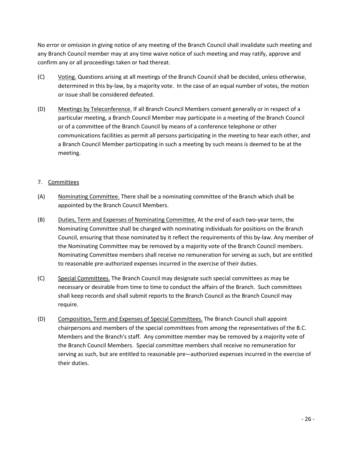No error or omission in giving notice of any meeting of the Branch Council shall invalidate such meeting and any Branch Council member may at any time waive notice of such meeting and may ratify, approve and confirm any or all proceedings taken or had thereat.

- (C) Voting. Questions arising at all meetings of the Branch Council shall be decided, unless otherwise, determined in this by-law, by a majority vote. In the case of an equal number of votes, the motion or issue shall be considered defeated.
- (D) Meetings by Teleconference. If all Branch Council Members consent generally or in respect of a particular meeting, a Branch Council Member may participate in a meeting of the Branch Council or of a committee of the Branch Council by means of a conference telephone or other communications facilities as permit all persons participating in the meeting to hear each other, and a Branch Council Member participating in such a meeting by such means is deemed to be at the meeting.

# 7. Committees

- (A) Nominating Committee. There shall be a nominating committee of the Branch which shall be appointed by the Branch Council Members.
- (B) Duties, Term and Expenses of Nominating Committee. At the end of each two-year term, the Nominating Committee shall be charged with nominating individuals for positions on the Branch Council, ensuring that those nominated by it reflect the requirements of this by-law. Any member of the Nominating Committee may be removed by a majority vote of the Branch Council members. Nominating Committee members shall receive no remuneration for serving as such, but are entitled to reasonable pre-authorized expenses incurred in the exercise of their duties.
- (C) Special Committees. The Branch Council may designate such special committees as may be necessary or desirable from time to time to conduct the affairs of the Branch. Such committees shall keep records and shall submit reports to the Branch Council as the Branch Council may require.
- (D) Composition, Term and Expenses of Special Committees. The Branch Council shall appoint chairpersons and members of the special committees from among the representatives of the B.C. Members and the Branch's staff. Any committee member may be removed by a majority vote of the Branch Council Members. Special committee members shall receive no remuneration for serving as such, but are entitled to reasonable pre¬-authorized expenses incurred in the exercise of their duties.